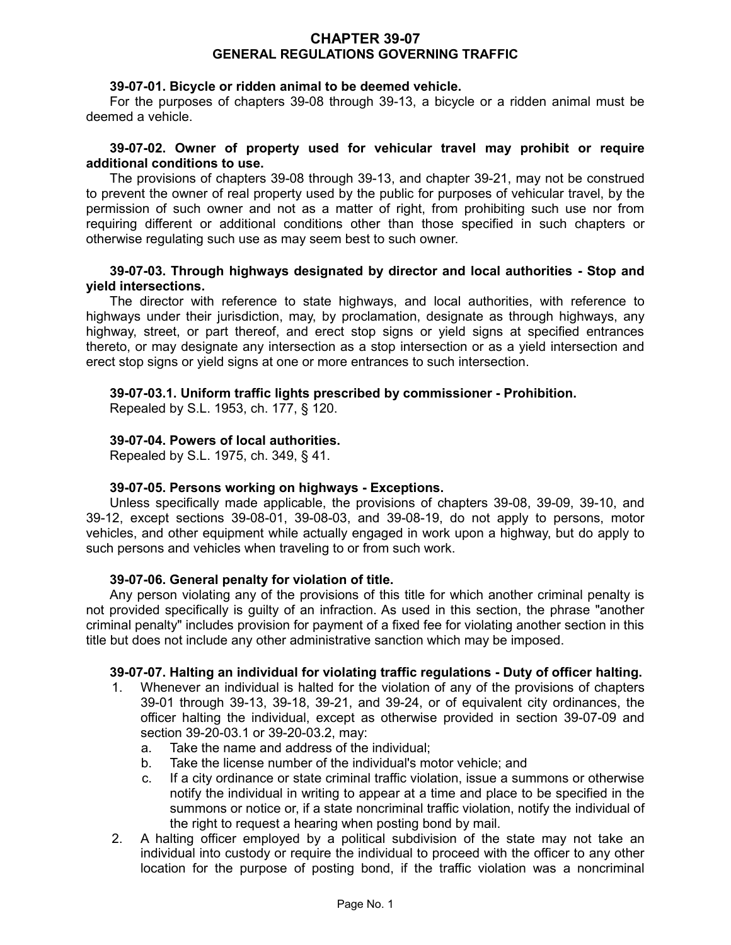## **CHAPTER 39-07 GENERAL REGULATIONS GOVERNING TRAFFIC**

## **39-07-01. Bicycle or ridden animal to be deemed vehicle.**

For the purposes of chapters 39-08 through 39-13, a bicycle or a ridden animal must be deemed a vehicle.

### **39-07-02. Owner of property used for vehicular travel may prohibit or require additional conditions to use.**

The provisions of chapters 39-08 through 39-13, and chapter 39-21, may not be construed to prevent the owner of real property used by the public for purposes of vehicular travel, by the permission of such owner and not as a matter of right, from prohibiting such use nor from requiring different or additional conditions other than those specified in such chapters or otherwise regulating such use as may seem best to such owner.

## **39-07-03. Through highways designated by director and local authorities - Stop and yield intersections.**

The director with reference to state highways, and local authorities, with reference to highways under their jurisdiction, may, by proclamation, designate as through highways, any highway, street, or part thereof, and erect stop signs or yield signs at specified entrances thereto, or may designate any intersection as a stop intersection or as a yield intersection and erect stop signs or yield signs at one or more entrances to such intersection.

# **39-07-03.1. Uniform traffic lights prescribed by commissioner - Prohibition.**

Repealed by S.L. 1953, ch. 177, § 120.

# **39-07-04. Powers of local authorities.**

Repealed by S.L. 1975, ch. 349, § 41.

### **39-07-05. Persons working on highways - Exceptions.**

Unless specifically made applicable, the provisions of chapters 39-08, 39-09, 39-10, and 39-12, except sections 39-08-01, 39-08-03, and 39-08-19, do not apply to persons, motor vehicles, and other equipment while actually engaged in work upon a highway, but do apply to such persons and vehicles when traveling to or from such work.

### **39-07-06. General penalty for violation of title.**

Any person violating any of the provisions of this title for which another criminal penalty is not provided specifically is guilty of an infraction. As used in this section, the phrase "another criminal penalty" includes provision for payment of a fixed fee for violating another section in this title but does not include any other administrative sanction which may be imposed.

### **39-07-07. Halting an individual for violating traffic regulations - Duty of officer halting.**

- 1. Whenever an individual is halted for the violation of any of the provisions of chapters 39-01 through 39-13, 39-18, 39-21, and 39-24, or of equivalent city ordinances, the officer halting the individual, except as otherwise provided in section 39-07-09 and section 39-20-03.1 or 39-20-03.2, may:
	- a. Take the name and address of the individual;
	- b. Take the license number of the individual's motor vehicle; and
	- c. If a city ordinance or state criminal traffic violation, issue a summons or otherwise notify the individual in writing to appear at a time and place to be specified in the summons or notice or, if a state noncriminal traffic violation, notify the individual of the right to request a hearing when posting bond by mail.
- 2. A halting officer employed by a political subdivision of the state may not take an individual into custody or require the individual to proceed with the officer to any other location for the purpose of posting bond, if the traffic violation was a noncriminal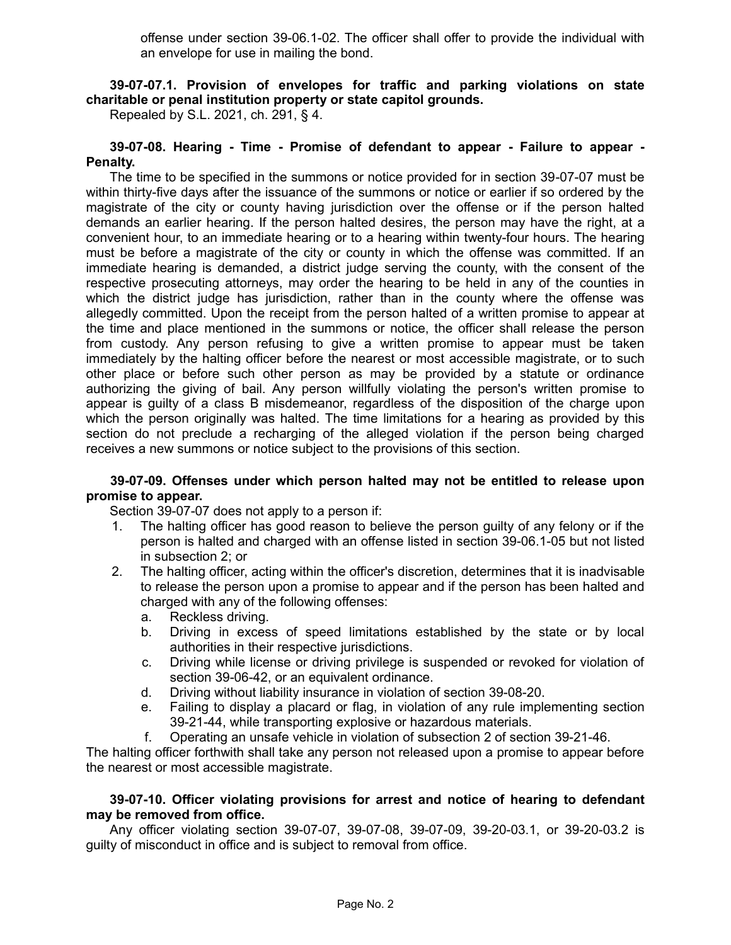offense under section 39-06.1-02. The officer shall offer to provide the individual with an envelope for use in mailing the bond.

# **39-07-07.1. Provision of envelopes for traffic and parking violations on state charitable or penal institution property or state capitol grounds.**

Repealed by S.L. 2021, ch. 291, § 4.

### **39-07-08. Hearing - Time - Promise of defendant to appear - Failure to appear - Penalty.**

The time to be specified in the summons or notice provided for in section 39-07-07 must be within thirty-five days after the issuance of the summons or notice or earlier if so ordered by the magistrate of the city or county having jurisdiction over the offense or if the person halted demands an earlier hearing. If the person halted desires, the person may have the right, at a convenient hour, to an immediate hearing or to a hearing within twenty-four hours. The hearing must be before a magistrate of the city or county in which the offense was committed. If an immediate hearing is demanded, a district judge serving the county, with the consent of the respective prosecuting attorneys, may order the hearing to be held in any of the counties in which the district judge has jurisdiction, rather than in the county where the offense was allegedly committed. Upon the receipt from the person halted of a written promise to appear at the time and place mentioned in the summons or notice, the officer shall release the person from custody. Any person refusing to give a written promise to appear must be taken immediately by the halting officer before the nearest or most accessible magistrate, or to such other place or before such other person as may be provided by a statute or ordinance authorizing the giving of bail. Any person willfully violating the person's written promise to appear is guilty of a class B misdemeanor, regardless of the disposition of the charge upon which the person originally was halted. The time limitations for a hearing as provided by this section do not preclude a recharging of the alleged violation if the person being charged receives a new summons or notice subject to the provisions of this section.

# **39-07-09. Offenses under which person halted may not be entitled to release upon promise to appear.**

Section 39-07-07 does not apply to a person if:

- 1. The halting officer has good reason to believe the person guilty of any felony or if the person is halted and charged with an offense listed in section 39-06.1-05 but not listed in subsection 2; or
- 2. The halting officer, acting within the officer's discretion, determines that it is inadvisable to release the person upon a promise to appear and if the person has been halted and charged with any of the following offenses:
	- a. Reckless driving.
	- b. Driving in excess of speed limitations established by the state or by local authorities in their respective jurisdictions.
	- c. Driving while license or driving privilege is suspended or revoked for violation of section 39-06-42, or an equivalent ordinance.
	- d. Driving without liability insurance in violation of section 39-08-20.
	- e. Failing to display a placard or flag, in violation of any rule implementing section 39-21-44, while transporting explosive or hazardous materials.
	- f. Operating an unsafe vehicle in violation of subsection 2 of section 39-21-46.

The halting officer forthwith shall take any person not released upon a promise to appear before the nearest or most accessible magistrate.

### **39-07-10. Officer violating provisions for arrest and notice of hearing to defendant may be removed from office.**

Any officer violating section 39-07-07, 39-07-08, 39-07-09, 39-20-03.1, or 39-20-03.2 is guilty of misconduct in office and is subject to removal from office.